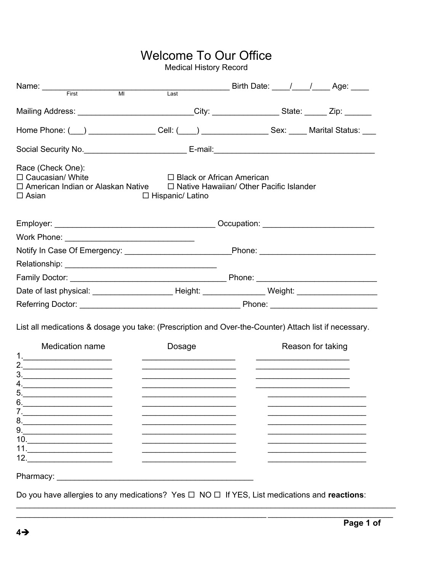# Welcome To Our Office

Medical History Record

| Name: First MI                                                                                                                                                                                                                |        | Last Birth Date: 1 1 Age: |  |  |  |  |  |
|-------------------------------------------------------------------------------------------------------------------------------------------------------------------------------------------------------------------------------|--------|---------------------------|--|--|--|--|--|
| Mailing Address: ___________________________City: ________________State: ______ Zip: _______                                                                                                                                  |        |                           |  |  |  |  |  |
| Home Phone: ( <u>__</u> ) ___________________Cell: ( ___ ) ___________________Sex: _____ Marital Status: ____                                                                                                                 |        |                           |  |  |  |  |  |
|                                                                                                                                                                                                                               |        |                           |  |  |  |  |  |
| Race (Check One):<br>$\Box$ Caucasian/ White<br>$\Box$ Black or African American<br>$\Box$ American Indian or Alaskan Native $\qquad \Box$ Native Hawaiian/ Other Pacific Islander<br>$\Box$ Asian<br>$\Box$ Hispanic/ Latino |        |                           |  |  |  |  |  |
|                                                                                                                                                                                                                               |        |                           |  |  |  |  |  |
|                                                                                                                                                                                                                               |        |                           |  |  |  |  |  |
| Notify In Case Of Emergency: ________________________Phone: ____________________                                                                                                                                              |        |                           |  |  |  |  |  |
|                                                                                                                                                                                                                               |        |                           |  |  |  |  |  |
|                                                                                                                                                                                                                               |        |                           |  |  |  |  |  |
| Date of last physical: _________________________Height: _____________________Weight: ________________________                                                                                                                 |        |                           |  |  |  |  |  |
|                                                                                                                                                                                                                               |        |                           |  |  |  |  |  |
| List all medications & dosage you take: (Prescription and Over-the-Counter) Attach list if necessary.<br>Medication name<br>1.<br>2.<br>3.                                                                                    | Dosage | Reason for taking         |  |  |  |  |  |
| 4.<br>ს.<br>8.<br>9.<br>$10. \qquad \qquad \overbrace{\qquad \qquad }$<br>$\begin{array}{c}\n11. \\ \hline\n\end{array}$<br>12. $\qquad \qquad$                                                                               |        |                           |  |  |  |  |  |
| Pharmacy: New York Charmacy:<br>Do you have allergies to any medications? Yes $\square$ NO $\square$ If YES, List medications and reactions:                                                                                  |        |                           |  |  |  |  |  |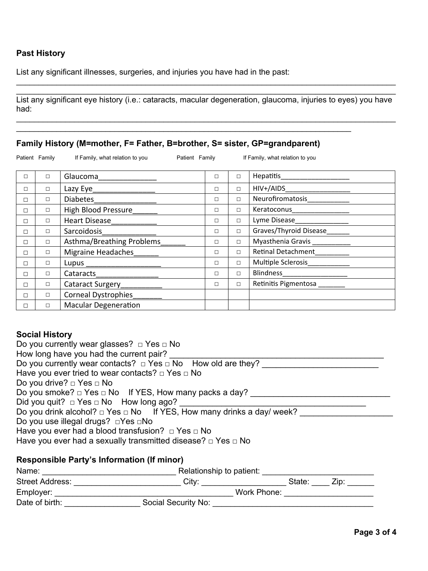## **Past History**

List any significant illnesses, surgeries, and injuries you have had in the past:

\_\_\_\_\_\_\_\_\_\_\_\_\_\_\_\_\_\_\_\_\_\_\_\_\_\_\_\_\_\_\_\_\_\_\_\_\_\_\_\_\_\_\_\_\_\_\_\_\_\_\_\_\_\_\_\_\_\_\_\_\_\_\_\_\_\_\_\_\_\_\_\_\_\_\_\_\_\_\_\_\_\_\_\_\_ List any significant eye history (i.e.: cataracts, macular degeneration, glaucoma, injuries to eyes) you have had:

\_\_\_\_\_\_\_\_\_\_\_\_\_\_\_\_\_\_\_\_\_\_\_\_\_\_\_\_\_\_\_\_\_\_\_\_\_\_\_\_\_\_\_\_\_\_\_\_\_\_\_\_\_\_\_\_\_\_\_\_\_\_\_\_\_\_\_\_\_\_\_\_\_\_\_\_\_\_\_\_\_\_\_\_\_

\_\_\_\_\_\_\_\_\_\_\_\_\_\_\_\_\_\_\_\_\_\_\_\_\_\_\_\_\_\_\_\_\_\_\_\_\_\_\_\_\_\_\_\_\_\_\_\_\_\_\_\_\_\_\_\_\_\_\_\_\_\_\_\_\_\_\_\_\_\_\_\_\_\_\_\_\_\_\_\_\_\_\_\_\_

## **Family History (M=mother, F= Father, B=brother, S= sister, GP=grandparent)**

\_\_\_\_\_\_\_\_\_\_\_\_\_\_\_\_\_\_\_\_\_\_\_\_\_\_\_\_\_\_\_\_\_\_\_\_\_\_\_\_\_\_\_\_\_\_\_\_\_\_\_\_\_\_\_\_\_\_\_\_\_\_\_\_\_\_\_\_\_\_\_\_\_\_\_

|   | Patient Family | If Family, what relation to you | Patient Family |        |        | If Family, what relation to you                                |
|---|----------------|---------------------------------|----------------|--------|--------|----------------------------------------------------------------|
| П | $\Box$         | Glaucoma                        |                | $\Box$ | $\Box$ | Hepatitis_<br><u> 1980 - Andrea Andrew Maria III (m. 1950)</u> |
| □ | $\Box$         |                                 |                | $\Box$ | $\Box$ | HIV+/AIDS____________________                                  |
| п | $\Box$         | Diabetes                        |                | □      | $\Box$ | Neurofiromatosis                                               |
| □ | $\Box$         | High Blood Pressure             |                | $\Box$ | $\Box$ | Keratoconus                                                    |
| п | $\Box$         | Heart Disease___________        |                | $\Box$ | $\Box$ | Lyme Disease_                                                  |
| п | $\Box$         | Sarcoidosis                     |                | $\Box$ | $\Box$ | Graves/Thyroid Disease                                         |
| п | $\Box$         | Asthma/Breathing Problems       |                | □      | $\Box$ | Myasthenia Gravis ___________                                  |
| п | $\Box$         | Migraine Headaches              |                | □      | $\Box$ | Retinal Detachment                                             |
| П | $\Box$         | Lupus _______________________   |                | □      | $\Box$ | Multiple Sclerosis                                             |
| □ | $\Box$         |                                 |                | □      | $\Box$ | Blindness_____________________                                 |
| □ | $\Box$         | Cataract Surgery                |                | $\Box$ | $\Box$ | Retinitis Pigmentosa                                           |
| □ | $\Box$         | <b>Corneal Dystrophies</b>      |                |        |        |                                                                |
| □ | $\Box$         | <b>Macular Degeneration</b>     |                |        |        |                                                                |

## **Social History**

| Do you currently wear glasses? $\Box$ Yes $\Box$ No                             |
|---------------------------------------------------------------------------------|
| How long have you had the current pair?                                         |
| Do you currently wear contacts? $\Box$ Yes $\Box$ No How old are they?          |
| Have you ever tried to wear contacts? $\Box$ Yes $\Box$ No                      |
| Do you drive? $\Box$ Yes $\Box$ No                                              |
| Do you smoke? $\Box$ Yes $\Box$ No If YES, How many packs a day?                |
| Did you quit? $\Box$ Yes $\Box$ No How long ago?                                |
| Do you drink alcohol? $\Box$ Yes $\Box$ No If YES, How many drinks a day/ week? |
| Do you use illegal drugs? □Yes □No                                              |
| Have you ever had a blood transfusion? $\Box$ Yes $\Box$ No                     |
| Have you ever had a sexually transmitted disease? $\Box$ Yes $\Box$ No          |
| <b>Responsible Party's Information (If minor)</b>                               |

| Name:                  | Relationship to patient: |             |      |
|------------------------|--------------------------|-------------|------|
| <b>Street Address:</b> | City:                    | State:      | Zip: |
| Employer:              |                          | Work Phone: |      |
| Date of birth:         | Social Security No:      |             |      |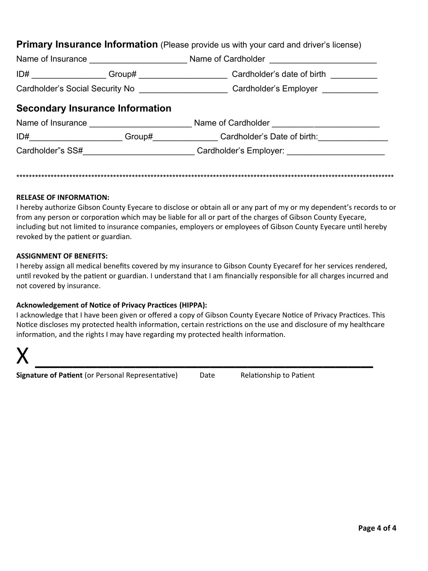| Primary Insurance Information (Please provide us with your card and driver's license) |  |  |  |  |
|---------------------------------------------------------------------------------------|--|--|--|--|
|---------------------------------------------------------------------------------------|--|--|--|--|

| Name of Insurance                      | <u> 1980 - Johann John Stein, fransk politik (</u>                                                                                                                                                                            |                                                                                         |  |  |  |
|----------------------------------------|-------------------------------------------------------------------------------------------------------------------------------------------------------------------------------------------------------------------------------|-----------------------------------------------------------------------------------------|--|--|--|
| ID#                                    | Group# _____________________                                                                                                                                                                                                  | Cardholder's date of birth                                                              |  |  |  |
|                                        |                                                                                                                                                                                                                               | Cardholder's Social Security No _______________________Cardholder's Employer __________ |  |  |  |
| <b>Secondary Insurance Information</b> |                                                                                                                                                                                                                               |                                                                                         |  |  |  |
| Name of Insurance                      | <u> 1980 - Jan Barbarat, manala</u>                                                                                                                                                                                           | Name of Cardholder <b>Name of Cardholder</b>                                            |  |  |  |
|                                        | Group# contract the set of the set of the set of the set of the set of the set of the set of the set of the set of the set of the set of the set of the set of the set of the set of the set of the set of the set of the set | Cardholder's Date of birth:                                                             |  |  |  |
| Cardholder"s SS#                       |                                                                                                                                                                                                                               | Cardholder's Employer:                                                                  |  |  |  |
|                                        |                                                                                                                                                                                                                               |                                                                                         |  |  |  |

#### **RELEASE OF INFORMATION:**

I hereby authorize Gibson County Eyecare to disclose or obtain all or any part of my or my dependent's records to or from any person or corporation which may be liable for all or part of the charges of Gibson County Eyecare, including but not limited to insurance companies, employers or employees of Gibson County Eyecare until hereby revoked by the patient or guardian.

\*\*\*\*\*\*\*\*\*\*\*\*\*\*\*\*\*\*\*\*\*\*\*\*\*\*\*\*\*\*\*\*\*\*\*\*\*\*\*\*\*\*\*\*\*\*\*\*\*\*\*\*\*\*\*\*\*\*\*\*\*\*\*\*\*\*\*\*\*\*\*\*\*\*\*\*\*\*\*\*\*\*\*\*\*\*\*\*\*\*\*\*\*\*\*\*\*\*\*\*\*\*\*\*\*\*\*\*\*\*\*\*\*\*\*\*\*\*\*\*\*

#### **ASSIGNMENT OF BENEFITS:**

I hereby assign all medical benefits covered by my insurance to Gibson County Eyecaref for her services rendered, until revoked by the patient or guardian. I understand that I am financially responsible for all charges incurred and not covered by insurance.

#### **Acknowledgement of Notice of Privacy Practices (HIPPA):**

I acknowledge that I have been given or offered a copy of Gibson County Eyecare Notice of Privacy Practices. This Notice discloses my protected health information, certain restrictions on the use and disclosure of my healthcare information, and the rights I may have regarding my protected health information.



**Signature of Patient** (or Personal Representative) Date Relationship to Patient